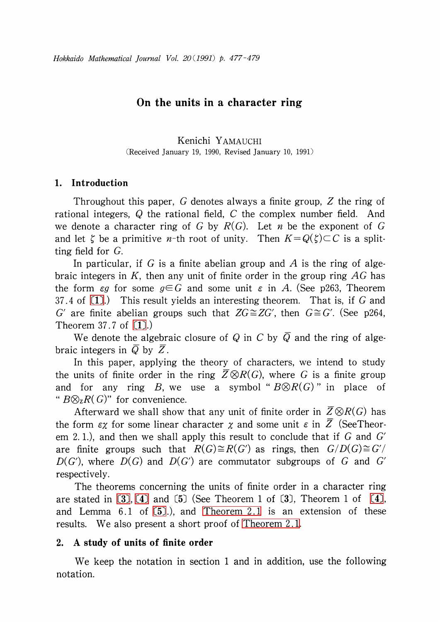## On the units in a character ring

Kenichi YAMAUCHI (Received January 19, 1990, Revised January 10, 1991)

## 1. Introduction

Throughout this paper, G denotes always a finite group, Z the ring of rational integers, Q the rational field, C the complex number field. And we denote a character ring of G by  $R(G)$ . Let *n* be the exponent of G and let  $\zeta$  be a primitive *n*-th root of unity. Then  $K=Q(\zeta)\subset C$  is a splitting field for G.

In particular, if G is a finite abelian group and A is the ring of algebraic integers in K, then any unit of finite order in the group ring  $AG$  has the form  $\epsilon g$  for some  $g\in G$  and some unit  $\epsilon$  in A. (See p263, Theorem 37.4 of [\[1\].](#page-2-0)) This result yields an interesting theorem. That is, if <sup>G</sup> and G' are finite abelian groups such that  $ZG \cong ZG'$ , then  $G \cong G'$ . (See p264, Theorem 37.7 of [\[1\].](#page-2-0))

We denote the algebraic closure of Q in C by  $\overline{Q}$  and the ring of algebraic integers in  $\overline{Q}$  by  $\overline{Z}$ .

In this paper, applying the theory of characters, we intend to study the units of finite order in the ring  $\overline{Z}\otimes R(G)$ , where  $G$  is a finite group and for any ring B, we use a symbol "  $B\otimes R(G)$  " in place of "  $B\otimes_{\mathbb{Z}}R(G)$ " for convenience.

Afterward we shall show that any unit of finite order in  $\overline{Z}\otimes R(G)$  has the form  $\epsilon\chi$  for some linear character  $\chi$  and some unit  $\epsilon$  in  $\overline{Z}$  (SeeTheorem 2.1.), and then we shall apply this result to conclude that if  $G$  and  $G'$ are finite groups such that  $R(G)\cong R(G')$  as rings, then  $G/D(G)\cong G'/$  $D(G')$ , where  $D(G)$  and  $D(G')$  are commutator subgroups of G and G' respectively.

The theorems concerning the units of finite order in a character ring are stated in  $(3)$ ,  $(4)$  and  $(5)$  (See Theorem 1 of  $(3)$ , Theorem 1 of  $(4)$ , and Lemma 6.1 of [\[5\].](#page-2-3)), and [Theorem](#page-1-0) 2.1 is an extension of these results. We also present a short proof of [Theorem](#page-1-0) 2.1.

## 2. A study of units of finite order

We keep the notation in section <sup>1</sup> and in addition, use the following notation.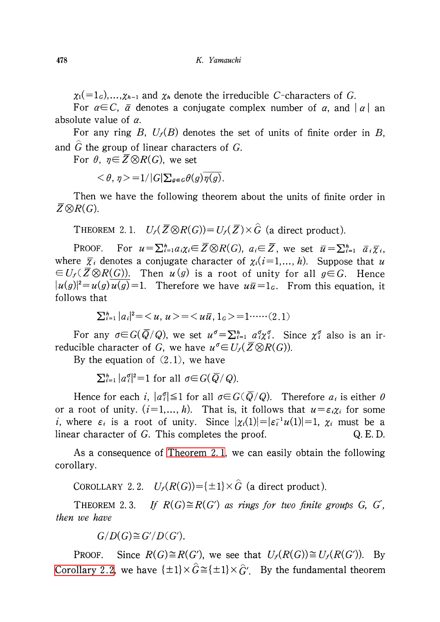$\chi_{1}(=1_{G})\ldots,\chi_{h-1}$  and  $\chi_{h}$  denote the irreducible C-characters of G.

For  $\alpha{\in} C,\ \bar{\alpha}$  denotes a conjugate complex number of  $\alpha,$  and  $|\alpha|$  an absolute value of  $\alpha$ .

For any ring B,  $U_{f}(B)$  denotes the set of units of finite order in B, and  $G$  the group of linear characters of  $G$ .

For  $\theta,\; \eta\!\in\!\overline{Z}\!\otimes\! R(G),$  we set

 $<\theta$ ,  $\eta$  > = 1/|G| $\sum_{g\in G}\theta(g)\eta(g)$ .

Then we have the following theorem about the units of finite order in  $\overline{Z}\otimes R(G).$ 

<span id="page-1-0"></span>THEOREM 2.1.  $U_{f}(\overline{Z}\otimes R(G))=U_{f}(\overline{Z})\times\hat{G}$  (a direct product).

PROOF. For  $u=\sum_{i=1}^{h}a_{i}\chi_{i}\in\overline{Z}\otimes R(G)$ ,  $a_{i}\in\overline{Z}$ , we set  $\overline{u}=\sum_{i=1}^{h}\overline{a}_{i}\overline{\chi}_{i}$ , where  $\overline{\chi}_{i}$  denotes a conjugate character of  $\chi_{i}(i=1, \ldots, h)$ . Suppose that  $u$  $\in U_{f}(\overline{Z}\otimes R(G))$ . Then  $u\left(g\right)$  is a root of unity for all  $g\!\in\! G$ . Hence  $|u(g)|^{2}=u(g)\,u(g)=1$ . Therefore we have  $u\overline{u}=1_{G}$ . From this equation, it follows that

$$
\sum_{i=1}^{h} |a_i|^2 = \langle u, u \rangle = \langle u\overline{u}, 1_G \rangle = 1 \cdots (2.1)
$$

For any  $\sigma{\in}G(\bar{Q}/Q)$ , we set  $u^{\sigma}{=}\Sigma_{i=1}^{h}$   $a_{i}^{\sigma}{\chi}_{i}^{\sigma}$ . Since  $\chi_{i}^{\sigma}$  also is an irreducible character of  $G$ , we have  $u^{\sigma} {\in} U_{f}(\overline{Z}\!\otimes\! R(G))$ .

By the equation of  $(2.1)$ , we have

 $\sum_{i=1}^{h}|a_{i}^{\sigma}|^{2}=1$  for all  $\sigma{\in}G(\overline{Q}/Q)$ .

Hence for each i,  $|a_{i}^{\sigma}|\leq 1$  for all  $\sigma{\in}G(\overline{Q}/Q)$ . Therefore  $a_{i}$  is either  $0$ or a root of unity.  $(i=1,\ldots, h)$ . That is, it follows that  $u=\varepsilon_{i}\chi_{i}$  for some *i*, where  $\varepsilon_{i}$  is a root of unity. Since  $|\chi_{i}(1)|=|\varepsilon_{i}^{-1}u(1)|=1$ ,  $\chi_{i}$  must be a linear character of G. This completes the proof.  $Q.E.D.$ 

As a consequence of [Theorem](#page-1-0) 2. 1, we can easily obtain the following corollary.

<span id="page-1-1"></span>COROLLARY 2.2.  $U_{f}(R(G)) = {\pm 1} \times \hat{G}$  (a direct product).

THEOREM 2.3. If  $R(G) \cong R(G')$  as rings for two finite groups G, G', then we have

 $G/D(G) \cong G'/D(G')$ .

PROOF. Since  $R(G)\cong R(G')$ , we see that  $U_{f}(R(G))\cong U_{f}(R(G'))$ . By [Corollary](#page-1-1) 2.2, we have  $\{\pm 1\}\times\widehat{G}\,\widetilde{=}\,\{\pm 1\}\times\widehat{G}'$ . By the fundamental theorem